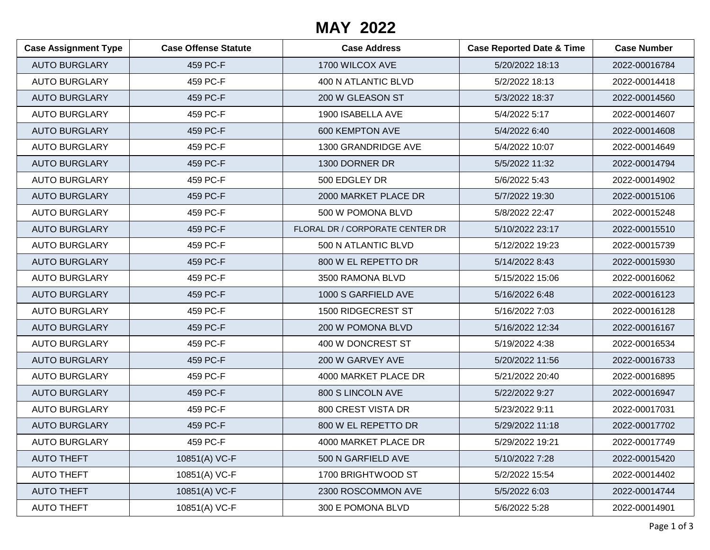## **MAY 2022**

| <b>Case Assignment Type</b> | <b>Case Offense Statute</b> | <b>Case Address</b>             | <b>Case Reported Date &amp; Time</b> | <b>Case Number</b> |
|-----------------------------|-----------------------------|---------------------------------|--------------------------------------|--------------------|
| <b>AUTO BURGLARY</b>        | 459 PC-F                    | 1700 WILCOX AVE                 | 5/20/2022 18:13                      | 2022-00016784      |
| <b>AUTO BURGLARY</b>        | 459 PC-F                    | 400 N ATLANTIC BLVD             | 5/2/2022 18:13                       | 2022-00014418      |
| <b>AUTO BURGLARY</b>        | 459 PC-F                    | 200 W GLEASON ST                | 5/3/2022 18:37                       | 2022-00014560      |
| <b>AUTO BURGLARY</b>        | 459 PC-F                    | 1900 ISABELLA AVE               | 5/4/2022 5:17                        | 2022-00014607      |
| <b>AUTO BURGLARY</b>        | 459 PC-F                    | 600 KEMPTON AVE                 | 5/4/2022 6:40                        | 2022-00014608      |
| <b>AUTO BURGLARY</b>        | 459 PC-F                    | 1300 GRANDRIDGE AVE             | 5/4/2022 10:07                       | 2022-00014649      |
| <b>AUTO BURGLARY</b>        | 459 PC-F                    | 1300 DORNER DR                  | 5/5/2022 11:32                       | 2022-00014794      |
| <b>AUTO BURGLARY</b>        | 459 PC-F                    | 500 EDGLEY DR                   | 5/6/2022 5:43                        | 2022-00014902      |
| <b>AUTO BURGLARY</b>        | 459 PC-F                    | 2000 MARKET PLACE DR            | 5/7/2022 19:30                       | 2022-00015106      |
| <b>AUTO BURGLARY</b>        | 459 PC-F                    | 500 W POMONA BLVD               | 5/8/2022 22:47                       | 2022-00015248      |
| <b>AUTO BURGLARY</b>        | 459 PC-F                    | FLORAL DR / CORPORATE CENTER DR | 5/10/2022 23:17                      | 2022-00015510      |
| <b>AUTO BURGLARY</b>        | 459 PC-F                    | 500 N ATLANTIC BLVD             | 5/12/2022 19:23                      | 2022-00015739      |
| <b>AUTO BURGLARY</b>        | 459 PC-F                    | 800 W EL REPETTO DR             | 5/14/2022 8:43                       | 2022-00015930      |
| <b>AUTO BURGLARY</b>        | 459 PC-F                    | 3500 RAMONA BLVD                | 5/15/2022 15:06                      | 2022-00016062      |
| <b>AUTO BURGLARY</b>        | 459 PC-F                    | 1000 S GARFIELD AVE             | 5/16/2022 6:48                       | 2022-00016123      |
| <b>AUTO BURGLARY</b>        | 459 PC-F                    | 1500 RIDGECREST ST              | 5/16/2022 7:03                       | 2022-00016128      |
| <b>AUTO BURGLARY</b>        | 459 PC-F                    | 200 W POMONA BLVD               | 5/16/2022 12:34                      | 2022-00016167      |
| <b>AUTO BURGLARY</b>        | 459 PC-F                    | 400 W DONCREST ST               | 5/19/2022 4:38                       | 2022-00016534      |
| <b>AUTO BURGLARY</b>        | 459 PC-F                    | 200 W GARVEY AVE                | 5/20/2022 11:56                      | 2022-00016733      |
| <b>AUTO BURGLARY</b>        | 459 PC-F                    | 4000 MARKET PLACE DR            | 5/21/2022 20:40                      | 2022-00016895      |
| <b>AUTO BURGLARY</b>        | 459 PC-F                    | 800 S LINCOLN AVE               | 5/22/2022 9:27                       | 2022-00016947      |
| <b>AUTO BURGLARY</b>        | 459 PC-F                    | 800 CREST VISTA DR              | 5/23/2022 9:11                       | 2022-00017031      |
| <b>AUTO BURGLARY</b>        | 459 PC-F                    | 800 W EL REPETTO DR             | 5/29/2022 11:18                      | 2022-00017702      |
| <b>AUTO BURGLARY</b>        | 459 PC-F                    | 4000 MARKET PLACE DR            | 5/29/2022 19:21                      | 2022-00017749      |
| <b>AUTO THEFT</b>           | 10851(A) VC-F               | 500 N GARFIELD AVE              | 5/10/2022 7:28                       | 2022-00015420      |
| <b>AUTO THEFT</b>           | 10851(A) VC-F               | 1700 BRIGHTWOOD ST              | 5/2/2022 15:54                       | 2022-00014402      |
| <b>AUTO THEFT</b>           | 10851(A) VC-F               | 2300 ROSCOMMON AVE              | 5/5/2022 6:03                        | 2022-00014744      |
| <b>AUTO THEFT</b>           | 10851(A) VC-F               | 300 E POMONA BLVD               | 5/6/2022 5:28                        | 2022-00014901      |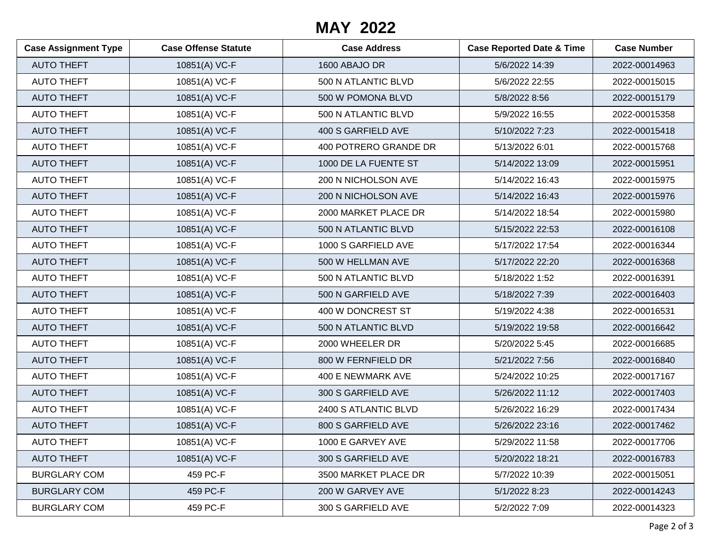## **MAY 2022**

| <b>Case Assignment Type</b> | <b>Case Offense Statute</b> | <b>Case Address</b>   | <b>Case Reported Date &amp; Time</b> | <b>Case Number</b> |
|-----------------------------|-----------------------------|-----------------------|--------------------------------------|--------------------|
| <b>AUTO THEFT</b>           | 10851(A) VC-F               | 1600 ABAJO DR         | 5/6/2022 14:39                       | 2022-00014963      |
| <b>AUTO THEFT</b>           | 10851(A) VC-F               | 500 N ATLANTIC BLVD   | 5/6/2022 22:55                       | 2022-00015015      |
| <b>AUTO THEFT</b>           | 10851(A) VC-F               | 500 W POMONA BLVD     | 5/8/2022 8:56                        | 2022-00015179      |
| <b>AUTO THEFT</b>           | 10851(A) VC-F               | 500 N ATLANTIC BLVD   | 5/9/2022 16:55                       | 2022-00015358      |
| <b>AUTO THEFT</b>           | 10851(A) VC-F               | 400 S GARFIELD AVE    | 5/10/2022 7:23                       | 2022-00015418      |
| <b>AUTO THEFT</b>           | 10851(A) VC-F               | 400 POTRERO GRANDE DR | 5/13/2022 6:01                       | 2022-00015768      |
| <b>AUTO THEFT</b>           | 10851(A) VC-F               | 1000 DE LA FUENTE ST  | 5/14/2022 13:09                      | 2022-00015951      |
| <b>AUTO THEFT</b>           | 10851(A) VC-F               | 200 N NICHOLSON AVE   | 5/14/2022 16:43                      | 2022-00015975      |
| <b>AUTO THEFT</b>           | 10851(A) VC-F               | 200 N NICHOLSON AVE   | 5/14/2022 16:43                      | 2022-00015976      |
| <b>AUTO THEFT</b>           | 10851(A) VC-F               | 2000 MARKET PLACE DR  | 5/14/2022 18:54                      | 2022-00015980      |
| <b>AUTO THEFT</b>           | 10851(A) VC-F               | 500 N ATLANTIC BLVD   | 5/15/2022 22:53                      | 2022-00016108      |
| <b>AUTO THEFT</b>           | 10851(A) VC-F               | 1000 S GARFIELD AVE   | 5/17/2022 17:54                      | 2022-00016344      |
| <b>AUTO THEFT</b>           | 10851(A) VC-F               | 500 W HELLMAN AVE     | 5/17/2022 22:20                      | 2022-00016368      |
| <b>AUTO THEFT</b>           | 10851(A) VC-F               | 500 N ATLANTIC BLVD   | 5/18/2022 1:52                       | 2022-00016391      |
| <b>AUTO THEFT</b>           | 10851(A) VC-F               | 500 N GARFIELD AVE    | 5/18/2022 7:39                       | 2022-00016403      |
| <b>AUTO THEFT</b>           | 10851(A) VC-F               | 400 W DONCREST ST     | 5/19/2022 4:38                       | 2022-00016531      |
| <b>AUTO THEFT</b>           | 10851(A) VC-F               | 500 N ATLANTIC BLVD   | 5/19/2022 19:58                      | 2022-00016642      |
| <b>AUTO THEFT</b>           | 10851(A) VC-F               | 2000 WHEELER DR       | 5/20/2022 5:45                       | 2022-00016685      |
| <b>AUTO THEFT</b>           | 10851(A) VC-F               | 800 W FERNFIELD DR    | 5/21/2022 7:56                       | 2022-00016840      |
| <b>AUTO THEFT</b>           | 10851(A) VC-F               | 400 E NEWMARK AVE     | 5/24/2022 10:25                      | 2022-00017167      |
| <b>AUTO THEFT</b>           | 10851(A) VC-F               | 300 S GARFIELD AVE    | 5/26/2022 11:12                      | 2022-00017403      |
| <b>AUTO THEFT</b>           | 10851(A) VC-F               | 2400 S ATLANTIC BLVD  | 5/26/2022 16:29                      | 2022-00017434      |
| <b>AUTO THEFT</b>           | 10851(A) VC-F               | 800 S GARFIELD AVE    | 5/26/2022 23:16                      | 2022-00017462      |
| <b>AUTO THEFT</b>           | 10851(A) VC-F               | 1000 E GARVEY AVE     | 5/29/2022 11:58                      | 2022-00017706      |
| <b>AUTO THEFT</b>           | 10851(A) VC-F               | 300 S GARFIELD AVE    | 5/20/2022 18:21                      | 2022-00016783      |
| <b>BURGLARY COM</b>         | 459 PC-F                    | 3500 MARKET PLACE DR  | 5/7/2022 10:39                       | 2022-00015051      |
| <b>BURGLARY COM</b>         | 459 PC-F                    | 200 W GARVEY AVE      | 5/1/2022 8:23                        | 2022-00014243      |
| <b>BURGLARY COM</b>         | 459 PC-F                    | 300 S GARFIELD AVE    | 5/2/2022 7:09                        | 2022-00014323      |